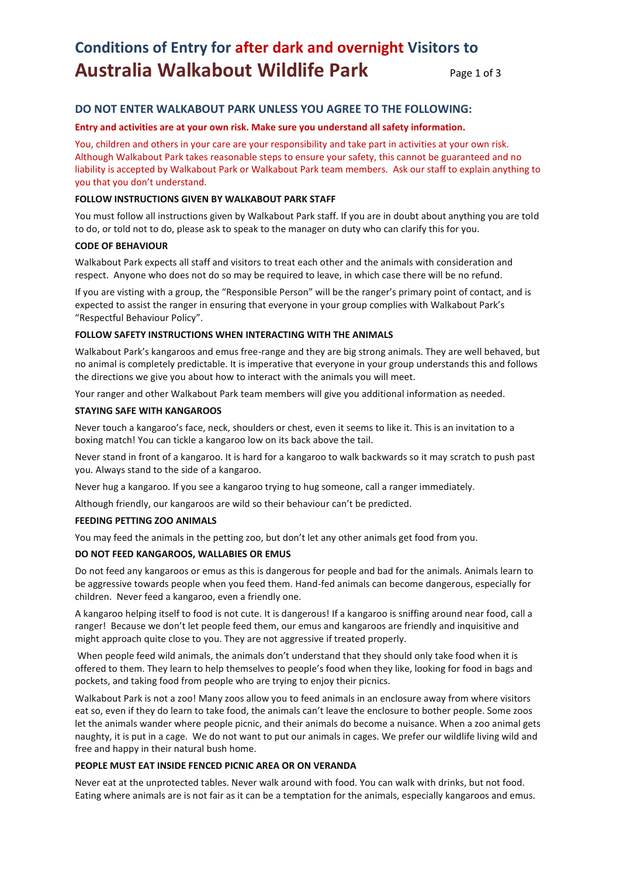# **Conditions of Entry for after dark and overnight Visitors to Australia Walkabout Wildlife Park** Page 1 of 3

## **DO NOT ENTER WALKABOUT PARK UNLESS YOU AGREE TO THE FOLLOWING:**

#### **Entry and activities are at your own risk. Make sure you understand all safety information.**

You, children and others in your care are your responsibility and take part in activities at your own risk. Although Walkabout Park takes reasonable steps to ensure your safety, this cannot be guaranteed and no liability is accepted by Walkabout Park or Walkabout Park team members. Ask our staff to explain anything to you that you don't understand.

## **FOLLOW INSTRUCTIONS GIVEN BY WALKABOUT PARK STAFF**

You must follow all instructions given by Walkabout Park staff. If you are in doubt about anything you are told to do, or told not to do, please ask to speak to the manager on duty who can clarify this for you.

## **CODE OF BEHAVIOUR**

Walkabout Park expects all staff and visitors to treat each other and the animals with consideration and respect. Anyone who does not do so may be required to leave, in which case there will be no refund.

If you are visting with a group, the "Responsible Person" will be the ranger's primary point of contact, and is expected to assist the ranger in ensuring that everyone in your group complies with Walkabout Park's "Respectful Behaviour Policy".

#### **FOLLOW SAFETY INSTRUCTIONS WHEN INTERACTING WITH THE ANIMALS**

Walkabout Park's kangaroos and emus free-range and they are big strong animals. They are well behaved, but no animal is completely predictable. It is imperative that everyone in your group understands this and follows the directions we give you about how to interact with the animals you will meet.

Your ranger and other Walkabout Park team members will give you additional information as needed.

#### **STAYING SAFE WITH KANGAROOS**

Never touch a kangaroo's face, neck, shoulders or chest, even it seems to like it. This is an invitation to a boxing match! You can tickle a kangaroo low on its back above the tail.

Never stand in front of a kangaroo. It is hard for a kangaroo to walk backwards so it may scratch to push past you. Always stand to the side of a kangaroo.

Never hug a kangaroo. If you see a kangaroo trying to hug someone, call a ranger immediately.

Although friendly, our kangaroos are wild so their behaviour can't be predicted.

## **FEEDING PETTING ZOO ANIMALS**

You may feed the animals in the petting zoo, but don't let any other animals get food from you.

## **DO NOT FEED KANGAROOS, WALLABIES OR EMUS**

Do not feed any kangaroos or emus as this is dangerous for people and bad for the animals. Animals learn to be aggressive towards people when you feed them. Hand-fed animals can become dangerous, especially for children. Never feed a kangaroo, even a friendly one.

A kangaroo helping itself to food is not cute. It is dangerous! If a kangaroo is sniffing around near food, call a ranger! Because we don't let people feed them, our emus and kangaroos are friendly and inquisitive and might approach quite close to you. They are not aggressive if treated properly.

When people feed wild animals, the animals don't understand that they should only take food when it is offered to them. They learn to help themselves to people's food when they like, looking for food in bags and pockets, and taking food from people who are trying to enjoy their picnics.

Walkabout Park is not a zoo! Many zoos allow you to feed animals in an enclosure away from where visitors eat so, even if they do learn to take food, the animals can't leave the enclosure to bother people. Some zoos let the animals wander where people picnic, and their animals do become a nuisance. When a zoo animal gets naughty, it is put in a cage. We do not want to put our animals in cages. We prefer our wildlife living wild and free and happy in their natural bush home.

## **PEOPLE MUST EAT INSIDE FENCED PICNIC AREA OR ON VERANDA**

Never eat at the unprotected tables. Never walk around with food. You can walk with drinks, but not food. Eating where animals are is not fair as it can be a temptation for the animals, especially kangaroos and emus.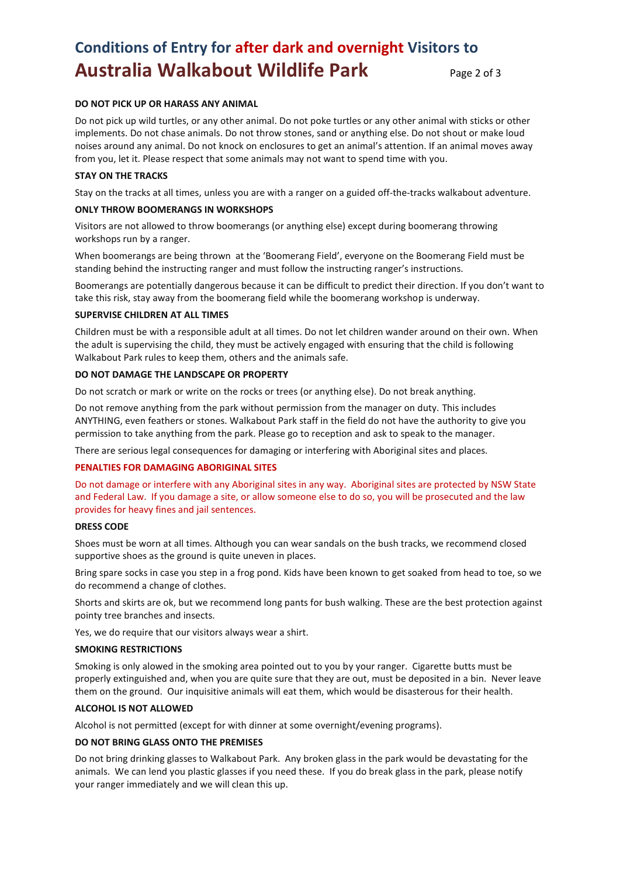# **Conditions of Entry for after dark and overnight Visitors to Australia Walkabout Wildlife Park** Page 2 of 3

## **DO NOT PICK UP OR HARASS ANY ANIMAL**

Do not pick up wild turtles, or any other animal. Do not poke turtles or any other animal with sticks or other implements. Do not chase animals. Do not throw stones, sand or anything else. Do not shout or make loud noises around any animal. Do not knock on enclosures to get an animal's attention. If an animal moves away from you, let it. Please respect that some animals may not want to spend time with you.

## **STAY ON THE TRACKS**

Stay on the tracks at all times, unless you are with a ranger on a guided off-the-tracks walkabout adventure.

### **ONLY THROW BOOMERANGS IN WORKSHOPS**

Visitors are not allowed to throw boomerangs (or anything else) except during boomerang throwing workshops run by a ranger.

When boomerangs are being thrown at the 'Boomerang Field', everyone on the Boomerang Field must be standing behind the instructing ranger and must follow the instructing ranger's instructions.

Boomerangs are potentially dangerous because it can be difficult to predict their direction. If you don't want to take this risk, stay away from the boomerang field while the boomerang workshop is underway.

#### **SUPERVISE CHILDREN AT ALL TIMES**

Children must be with a responsible adult at all times. Do not let children wander around on their own. When the adult is supervising the child, they must be actively engaged with ensuring that the child is following Walkabout Park rules to keep them, others and the animals safe.

#### **DO NOT DAMAGE THE LANDSCAPE OR PROPERTY**

Do not scratch or mark or write on the rocks or trees (or anything else). Do not break anything.

Do not remove anything from the park without permission from the manager on duty. This includes ANYTHING, even feathers or stones. Walkabout Park staff in the field do not have the authority to give you permission to take anything from the park. Please go to reception and ask to speak to the manager.

There are serious legal consequences for damaging or interfering with Aboriginal sites and places.

## **PENALTIES FOR DAMAGING ABORIGINAL SITES**

Do not damage or interfere with any Aboriginal sites in any way. Aboriginal sites are protected by NSW State and Federal Law. If you damage a site, or allow someone else to do so, you will be prosecuted and the law provides for heavy fines and jail sentences.

#### **DRESS CODE**

Shoes must be worn at all times. Although you can wear sandals on the bush tracks, we recommend closed supportive shoes as the ground is quite uneven in places.

Bring spare socks in case you step in a frog pond. Kids have been known to get soaked from head to toe, so we do recommend a change of clothes.

Shorts and skirts are ok, but we recommend long pants for bush walking. These are the best protection against pointy tree branches and insects.

Yes, we do require that our visitors always wear a shirt.

#### **SMOKING RESTRICTIONS**

Smoking is only alowed in the smoking area pointed out to you by your ranger. Cigarette butts must be properly extinguished and, when you are quite sure that they are out, must be deposited in a bin. Never leave them on the ground. Our inquisitive animals will eat them, which would be disasterous for their health.

## **ALCOHOL IS NOT ALLOWED**

Alcohol is not permitted (except for with dinner at some overnight/evening programs).

#### **DO NOT BRING GLASS ONTO THE PREMISES**

Do not bring drinking glasses to Walkabout Park. Any broken glass in the park would be devastating for the animals. We can lend you plastic glasses if you need these. If you do break glass in the park, please notify your ranger immediately and we will clean this up.